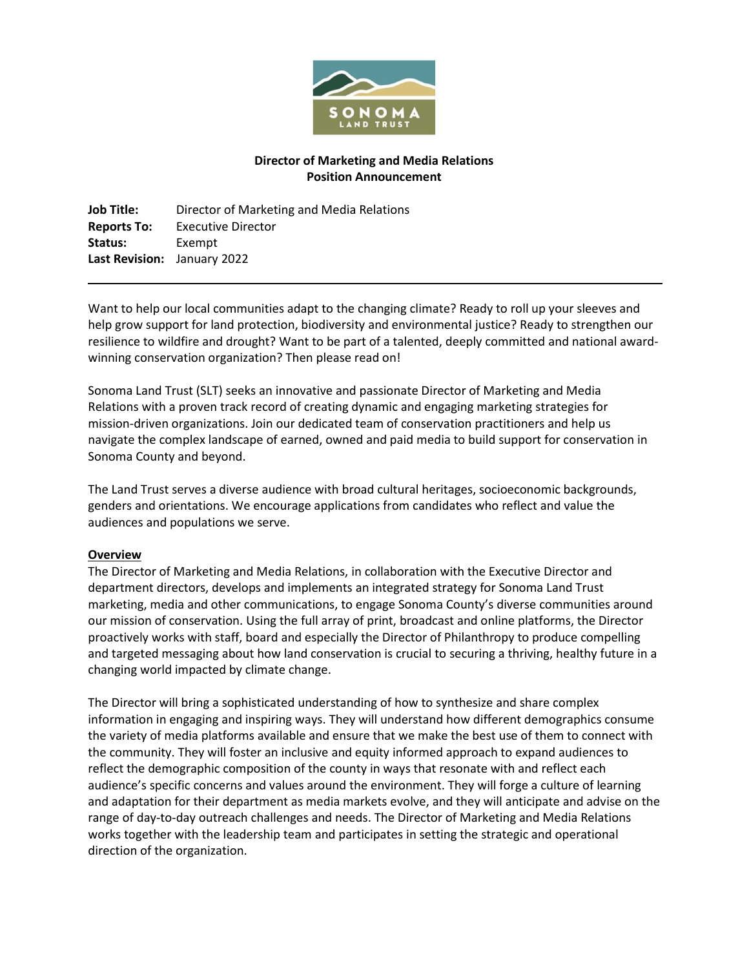

## **Director of Marketing and Media Relations Position Announcement**

**Job Title:** Director of Marketing and Media Relations **Reports To:** Executive Director **Status:** Exempt **Last Revision:** January 2022

Want to help our local communities adapt to the changing climate? Ready to roll up your sleeves and help grow support for land protection, biodiversity and environmental justice? Ready to strengthen our resilience to wildfire and drought? Want to be part of a talented, deeply committed and national awardwinning conservation organization? Then please read on!

Sonoma Land Trust (SLT) seeks an innovative and passionate Director of Marketing and Media Relations with a proven track record of creating dynamic and engaging marketing strategies for mission-driven organizations. Join our dedicated team of conservation practitioners and help us navigate the complex landscape of earned, owned and paid media to build support for conservation in Sonoma County and beyond.

The Land Trust serves a diverse audience with broad cultural heritages, socioeconomic backgrounds, genders and orientations. We encourage applications from candidates who reflect and value the audiences and populations we serve.

#### **Overview**

The Director of Marketing and Media Relations, in collaboration with the Executive Director and department directors, develops and implements an integrated strategy for Sonoma Land Trust marketing, media and other communications, to engage Sonoma County's diverse communities around our mission of conservation. Using the full array of print, broadcast and online platforms, the Director proactively works with staff, board and especially the Director of Philanthropy to produce compelling and targeted messaging about how land conservation is crucial to securing a thriving, healthy future in a changing world impacted by climate change.

The Director will bring a sophisticated understanding of how to synthesize and share complex information in engaging and inspiring ways. They will understand how different demographics consume the variety of media platforms available and ensure that we make the best use of them to connect with the community. They will foster an inclusive and equity informed approach to expand audiences to reflect the demographic composition of the county in ways that resonate with and reflect each audience's specific concerns and values around the environment. They will forge a culture of learning and adaptation for their department as media markets evolve, and they will anticipate and advise on the range of day-to-day outreach challenges and needs. The Director of Marketing and Media Relations works together with the leadership team and participates in setting the strategic and operational direction of the organization.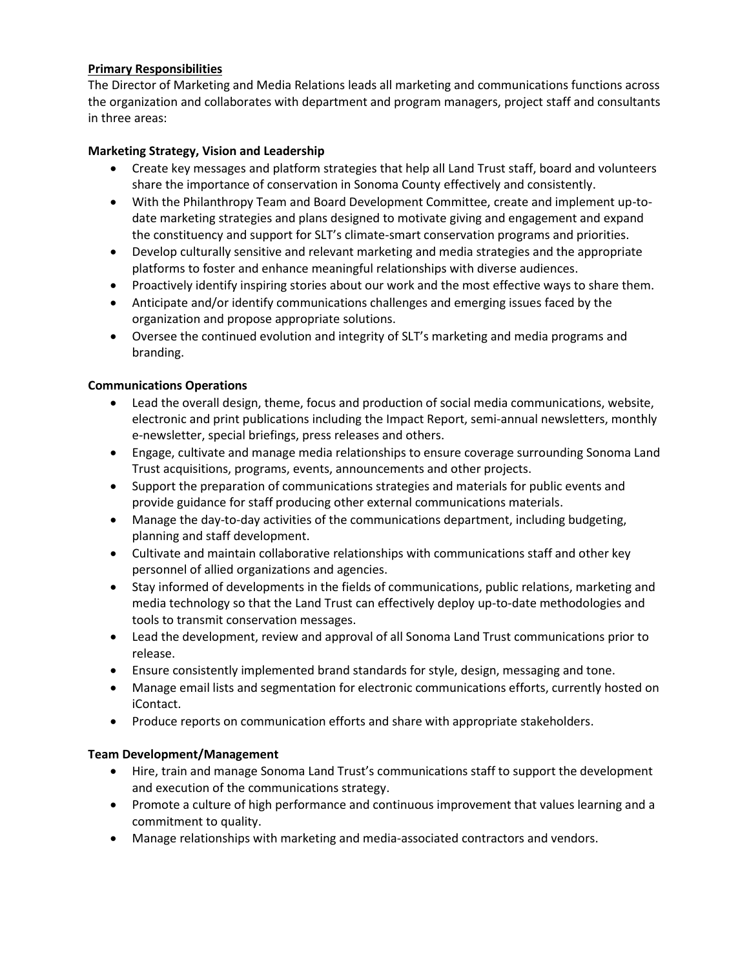## **Primary Responsibilities**

The Director of Marketing and Media Relations leads all marketing and communications functions across the organization and collaborates with department and program managers, project staff and consultants in three areas:

## **Marketing Strategy, Vision and Leadership**

- Create key messages and platform strategies that help all Land Trust staff, board and volunteers share the importance of conservation in Sonoma County effectively and consistently.
- With the Philanthropy Team and Board Development Committee, create and implement up-todate marketing strategies and plans designed to motivate giving and engagement and expand the constituency and support for SLT's climate-smart conservation programs and priorities.
- Develop culturally sensitive and relevant marketing and media strategies and the appropriate platforms to foster and enhance meaningful relationships with diverse audiences.
- Proactively identify inspiring stories about our work and the most effective ways to share them.
- Anticipate and/or identify communications challenges and emerging issues faced by the organization and propose appropriate solutions.
- Oversee the continued evolution and integrity of SLT's marketing and media programs and branding.

#### **Communications Operations**

- Lead the overall design, theme, focus and production of social media communications, website, electronic and print publications including the Impact Report, semi-annual newsletters, monthly e-newsletter, special briefings, press releases and others.
- Engage, cultivate and manage media relationships to ensure coverage surrounding Sonoma Land Trust acquisitions, programs, events, announcements and other projects.
- Support the preparation of communications strategies and materials for public events and provide guidance for staff producing other external communications materials.
- Manage the day-to-day activities of the communications department, including budgeting, planning and staff development.
- Cultivate and maintain collaborative relationships with communications staff and other key personnel of allied organizations and agencies.
- Stay informed of developments in the fields of communications, public relations, marketing and media technology so that the Land Trust can effectively deploy up-to-date methodologies and tools to transmit conservation messages.
- Lead the development, review and approval of all Sonoma Land Trust communications prior to release.
- Ensure consistently implemented brand standards for style, design, messaging and tone.
- Manage email lists and segmentation for electronic communications efforts, currently hosted on iContact.
- Produce reports on communication efforts and share with appropriate stakeholders.

# **Team Development/Management**

- Hire, train and manage Sonoma Land Trust's communications staff to support the development and execution of the communications strategy.
- Promote a culture of high performance and continuous improvement that values learning and a commitment to quality.
- Manage relationships with marketing and media-associated contractors and vendors.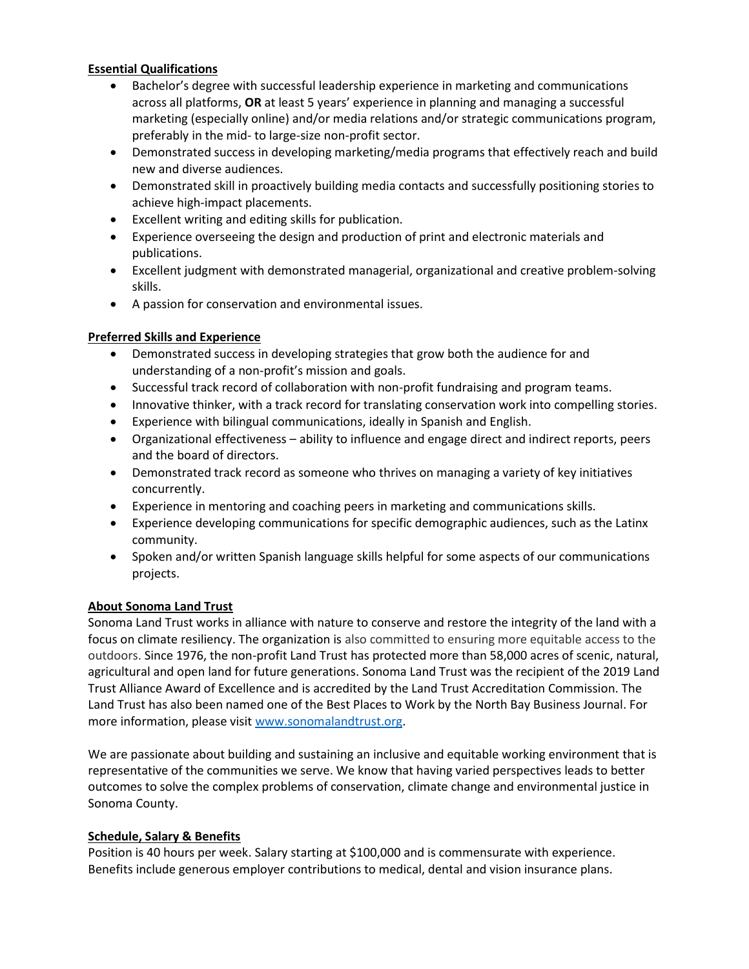## **Essential Qualifications**

- Bachelor's degree with successful leadership experience in marketing and communications across all platforms, **OR** at least 5 years' experience in planning and managing a successful marketing (especially online) and/or media relations and/or strategic communications program, preferably in the mid- to large-size non-profit sector.
- Demonstrated success in developing marketing/media programs that effectively reach and build new and diverse audiences.
- Demonstrated skill in proactively building media contacts and successfully positioning stories to achieve high-impact placements.
- Excellent writing and editing skills for publication.
- Experience overseeing the design and production of print and electronic materials and publications.
- Excellent judgment with demonstrated managerial, organizational and creative problem-solving skills.
- A passion for conservation and environmental issues.

# **Preferred Skills and Experience**

- Demonstrated success in developing strategies that grow both the audience for and understanding of a non-profit's mission and goals.
- Successful track record of collaboration with non-profit fundraising and program teams.
- Innovative thinker, with a track record for translating conservation work into compelling stories.
- Experience with bilingual communications, ideally in Spanish and English.
- Organizational effectiveness ability to influence and engage direct and indirect reports, peers and the board of directors.
- Demonstrated track record as someone who thrives on managing a variety of key initiatives concurrently.
- Experience in mentoring and coaching peers in marketing and communications skills.
- Experience developing communications for specific demographic audiences, such as the Latinx community.
- Spoken and/or written Spanish language skills helpful for some aspects of our communications projects.

# **About Sonoma Land Trust**

Sonoma Land Trust works in alliance with nature to conserve and restore the integrity of the land with a focus on climate resiliency. The organization is also committed to ensuring more equitable access to the outdoors. Since 1976, the non-profit Land Trust has protected more than 58,000 acres of scenic, natural, agricultural and open land for future generations. Sonoma Land Trust was the recipient of the 2019 Land Trust Alliance Award of Excellence and is accredited by the Land Trust Accreditation Commission. The Land Trust has also been named one of the Best Places to Work by the North Bay Business Journal. For more information, please visi[t www.sonomalandtrust.org.](http://www.sonomalandtrust.org/)

We are passionate about building and sustaining an inclusive and equitable working environment that is representative of the communities we serve. We know that having varied perspectives leads to better outcomes to solve the complex problems of conservation, climate change and environmental justice in Sonoma County.

#### **Schedule, Salary & Benefits**

Position is 40 hours per week. Salary starting at \$100,000 and is commensurate with experience. Benefits include generous employer contributions to medical, dental and vision insurance plans.